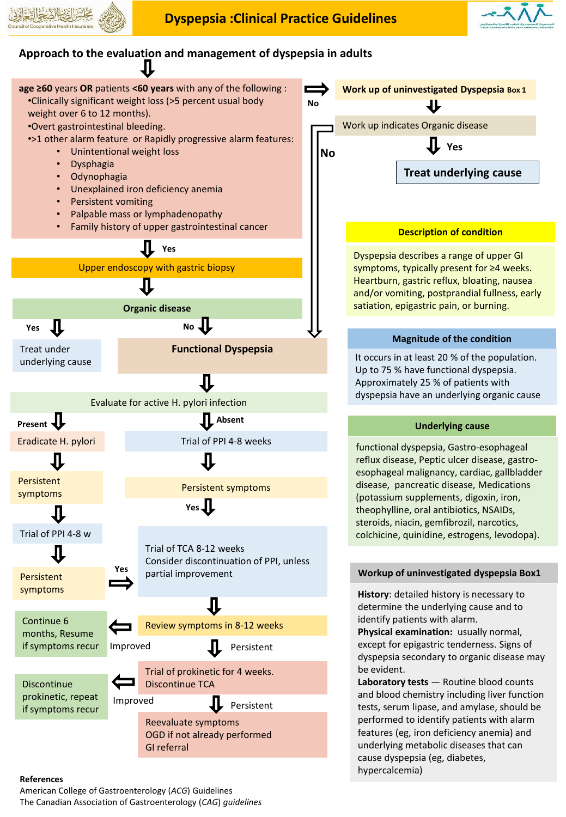



## **Approach to the evaluation and management of dyspepsia in adults**



## **References**

American College of Gastroenterology (*ACG*) Guidelines The Canadian Association of Gastroenterology (*CAG*) *guidelines*